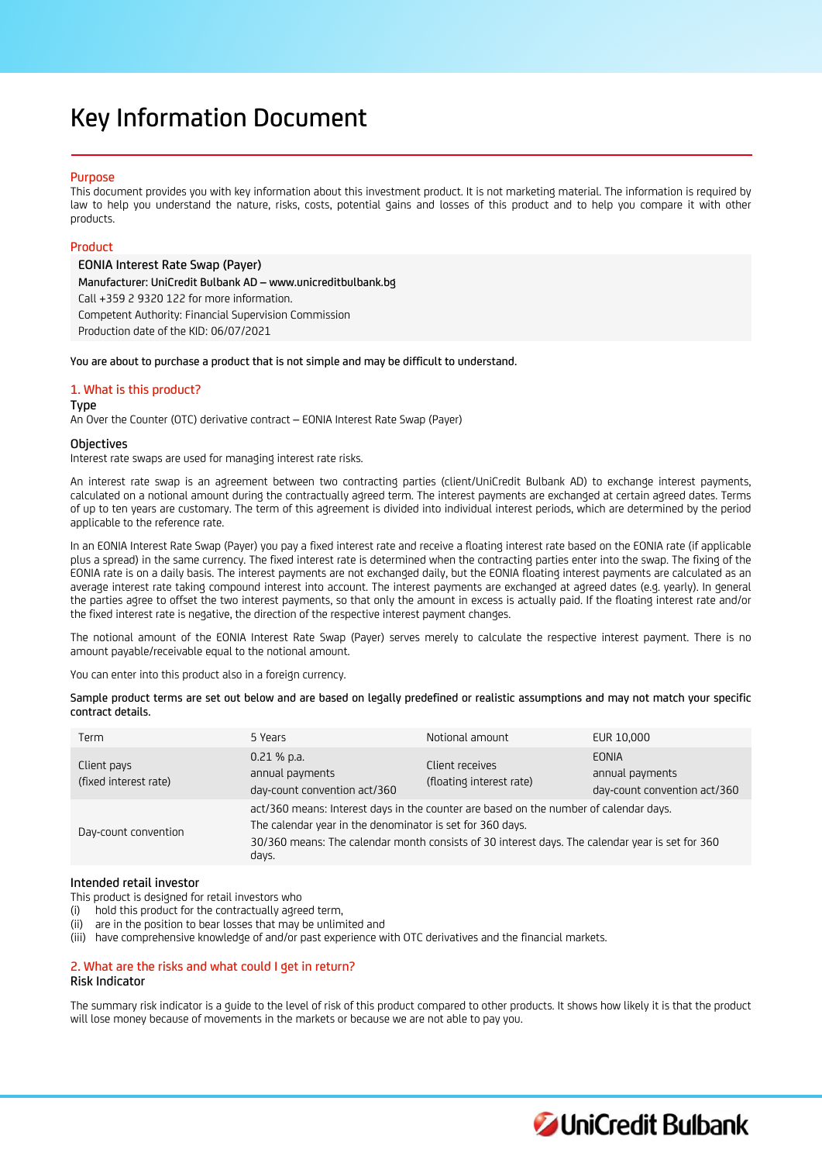# Key Information Document

# Purpose

This document provides you with key information about this investment product. It is not marketing material. The information is required by law to help you understand the nature, risks, costs, potential gains and losses of this product and to help you compare it with other products.

# Product

EONIA Interest Rate Swap (Payer) Manufacturer: UniCredit Bulbank AD – www.unicreditbulbank.bg Call +359 2 9320 122 for more information. Competent Authority: Financial Supervision Commission Production date of the KID: 06/07/2021

You are about to purchase a product that is not simple and may be difficult to understand.

# 1. What is this product?

Type

An Over the Counter (OTC) derivative contract – EONIA Interest Rate Swap (Payer)

# **Objectives**

Interest rate swaps are used for managing interest rate risks.

An interest rate swap is an agreement between two contracting parties (client/UniCredit Bulbank AD) to exchange interest payments, calculated on a notional amount during the contractually agreed term. The interest payments are exchanged at certain agreed dates. Terms of up to ten years are customary. The term of this agreement is divided into individual interest periods, which are determined by the period applicable to the reference rate.

In an EONIA Interest Rate Swap (Payer) you pay a fixed interest rate and receive a floating interest rate based on the EONIA rate (if applicable plus a spread) in the same currency. The fixed interest rate is determined when the contracting parties enter into the swap. The fixing of the EONIA rate is on a daily basis. The interest payments are not exchanged daily, but the EONIA floating interest payments are calculated as an average interest rate taking compound interest into account. The interest payments are exchanged at agreed dates (e.g. yearly). In general the parties agree to offset the two interest payments, so that only the amount in excess is actually paid. If the floating interest rate and/or the fixed interest rate is negative, the direction of the respective interest payment changes.

The notional amount of the EONIA Interest Rate Swap (Payer) serves merely to calculate the respective interest payment. There is no amount payable/receivable equal to the notional amount.

You can enter into this product also in a foreign currency.

Sample product terms are set out below and are based on legally predefined or realistic assumptions and may not match your specific contract details.

| Term                                 | 5 Years                                                                                                                                                                                                                                                        | Notional amount                             | EUR 10,000                                                      |
|--------------------------------------|----------------------------------------------------------------------------------------------------------------------------------------------------------------------------------------------------------------------------------------------------------------|---------------------------------------------|-----------------------------------------------------------------|
| Client pays<br>(fixed interest rate) | $0.21%$ p.a.<br>annual payments<br>day-count convention act/360                                                                                                                                                                                                | Client receives<br>(floating interest rate) | <b>EONIA</b><br>annual payments<br>day-count convention act/360 |
| Day-count convention                 | act/360 means: Interest days in the counter are based on the number of calendar days.<br>The calendar year in the denominator is set for 360 days.<br>30/360 means: The calendar month consists of 30 interest days. The calendar year is set for 360<br>days. |                                             |                                                                 |

# Intended retail investor

This product is designed for retail investors who

- (i) hold this product for the contractually agreed term,
- (ii) are in the position to bear losses that may be unlimited and
- (iii) have comprehensive knowledge of and/or past experience with OTC derivatives and the financial markets.

# 2. What are the risks and what could I get in return?

# Risk Indicator

The summary risk indicator is a guide to the level of risk of this product compared to other products. It shows how likely it is that the product will lose money because of movements in the markets or because we are not able to pay you.

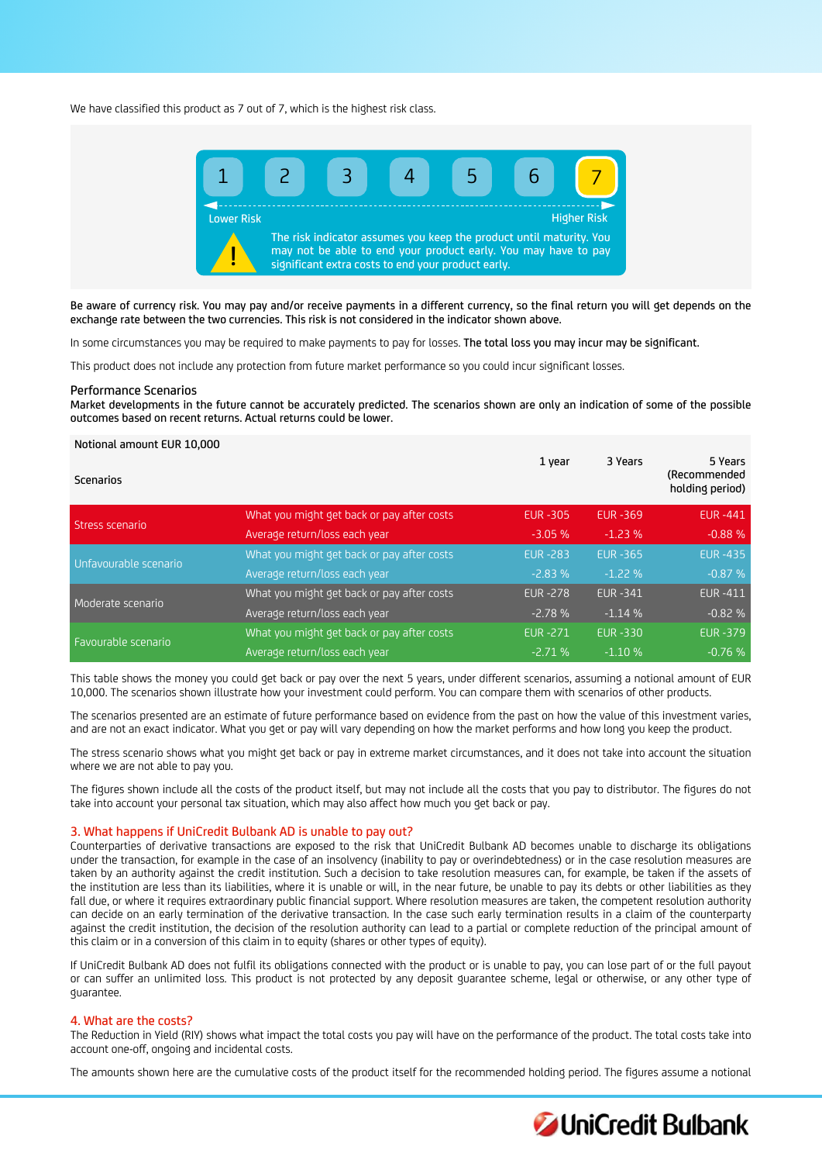We have classified this product as 7 out of 7, which is the highest risk class.



Be aware of currency risk. You may pay and/or receive payments in a different currency, so the final return you will get depends on the exchange rate between the two currencies. This risk is not considered in the indicator shown above.

In some circumstances you may be required to make payments to pay for losses. The total loss you may incur may be significant.

This product does not include any protection from future market performance so you could incur significant losses.

#### Performance Scenarios

Market developments in the future cannot be accurately predicted. The scenarios shown are only an indication of some of the possible outcomes based on recent returns. Actual returns could be lower.

#### Notional amount EUR 10,000

| <b>Scenarios</b>      |                                            | 1 year          | 3 Years         | 5 Years<br>(Recommended<br>holding period) |
|-----------------------|--------------------------------------------|-----------------|-----------------|--------------------------------------------|
| Stress scenario       | What you might get back or pay after costs | <b>EUR -305</b> | <b>EUR -369</b> | <b>EUR-441</b>                             |
|                       | Average return/loss each year              | $-3.05%$        | $-1.23%$        | $-0.88%$                                   |
| Unfavourable scenario | What you might get back or pay after costs | <b>EUR -283</b> | <b>EUR -365</b> | <b>EUR-435</b>                             |
|                       | Average return/loss each year              | $-2.83%$        | $-1.22%$        | $-0.87%$                                   |
| Moderate scenario     | What you might get back or pay after costs | <b>EUR -278</b> | <b>EUR-341</b>  | <b>EUR-411</b>                             |
|                       | Average return/loss each year              | $-2.78%$        | $-1.14%$        | $-0.82%$                                   |
| Favourable scenario   | What you might get back or pay after costs | <b>EUR-271</b>  | <b>EUR-330</b>  | <b>EUR-379</b>                             |
|                       | Average return/loss each year              | $-2.71%$        | $-1.10%$        | $-0.76%$                                   |

This table shows the money you could get back or pay over the next 5 years, under different scenarios, assuming a notional amount of EUR 10,000. The scenarios shown illustrate how your investment could perform. You can compare them with scenarios of other products.

The scenarios presented are an estimate of future performance based on evidence from the past on how the value of this investment varies, and are not an exact indicator. What you get or pay will vary depending on how the market performs and how long you keep the product.

The stress scenario shows what you might get back or pay in extreme market circumstances, and it does not take into account the situation where we are not able to pay you.

The figures shown include all the costs of the product itself, but may not include all the costs that you pay to distributor. The figures do not take into account your personal tax situation, which may also affect how much you get back or pay.

#### 3. What happens if UniCredit Bulbank AD is unable to pay out?

Counterparties of derivative transactions are exposed to the risk that UniCredit Bulbank AD becomes unable to discharge its obligations under the transaction, for example in the case of an insolvency (inability to pay or overindebtedness) or in the case resolution measures are taken by an authority against the credit institution. Such a decision to take resolution measures can, for example, be taken if the assets of the institution are less than its liabilities, where it is unable or will, in the near future, be unable to pay its debts or other liabilities as they fall due, or where it requires extraordinary public financial support. Where resolution measures are taken, the competent resolution authority can decide on an early termination of the derivative transaction. In the case such early termination results in a claim of the counterparty against the credit institution, the decision of the resolution authority can lead to a partial or complete reduction of the principal amount of this claim or in a conversion of this claim in to equity (shares or other types of equity).

If UniCredit Bulbank AD does not fulfil its obligations connected with the product or is unable to pay, you can lose part of or the full payout or can suffer an unlimited loss. This product is not protected by any deposit guarantee scheme, legal or otherwise, or any other type of guarantee.

# 4. What are the costs?

The Reduction in Yield (RIY) shows what impact the total costs you pay will have on the performance of the product. The total costs take into account one-off, ongoing and incidental costs.

The amounts shown here are the cumulative costs of the product itself for the recommended holding period. The figures assume a notional